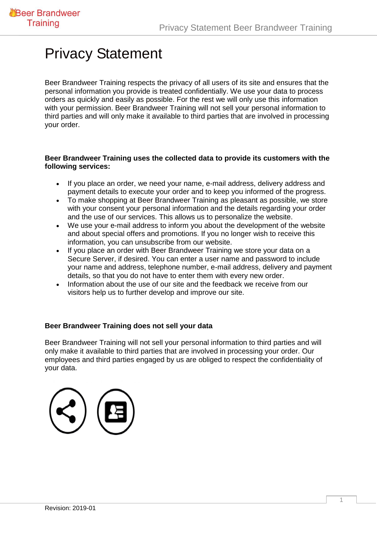## Privacy Statement

Beer Brandweer Training respects the privacy of all users of its site and ensures that the personal information you provide is treated confidentially. We use your data to process orders as quickly and easily as possible. For the rest we will only use this information with your permission. Beer Brandweer Training will not sell your personal information to third parties and will only make it available to third parties that are involved in processing your order.

## **Beer Brandweer Training uses the collected data to provide its customers with the following services:**

- If you place an order, we need your name, e-mail address, delivery address and payment details to execute your order and to keep you informed of the progress.
- To make shopping at Beer Brandweer Training as pleasant as possible, we store with your consent your personal information and the details regarding your order and the use of our services. This allows us to personalize the website.
- We use your e-mail address to inform you about the development of the website and about special offers and promotions. If you no longer wish to receive this information, you can unsubscribe from our website.
- If you place an order with Beer Brandweer Training we store your data on a Secure Server, if desired. You can enter a user name and password to include your name and address, telephone number, e-mail address, delivery and payment details, so that you do not have to enter them with every new order.
- Information about the use of our site and the feedback we receive from our visitors help us to further develop and improve our site.

## **Beer Brandweer Training does not sell your data**

Beer Brandweer Training will not sell your personal information to third parties and will only make it available to third parties that are involved in processing your order. Our employees and third parties engaged by us are obliged to respect the confidentiality of your data.